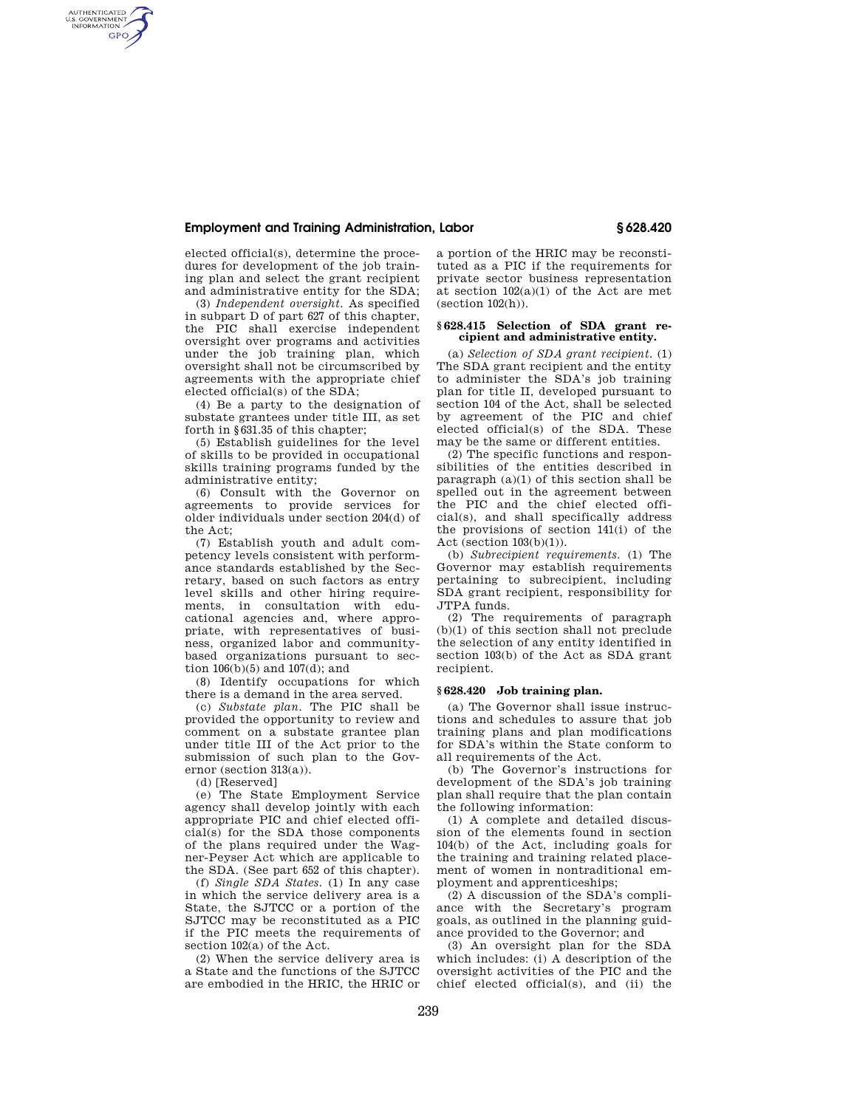## **Employment and Training Administration, Labor § 628.420**

elected official(s), determine the procedures for development of the job training plan and select the grant recipient and administrative entity for the SDA;

AUTHENTICATED<br>U.S. GOVERNMENT<br>INFORMATION **GPO** 

> (3) *Independent oversight.* As specified in subpart D of part 627 of this chapter, the PIC shall exercise independent oversight over programs and activities under the job training plan, which oversight shall not be circumscribed by agreements with the appropriate chief elected official(s) of the SDA;

> (4) Be a party to the designation of substate grantees under title III, as set forth in §631.35 of this chapter;

> (5) Establish guidelines for the level of skills to be provided in occupational skills training programs funded by the administrative entity;

> (6) Consult with the Governor on agreements to provide services for older individuals under section 204(d) of the Act;

> (7) Establish youth and adult competency levels consistent with performance standards established by the Secretary, based on such factors as entry level skills and other hiring requirements, in consultation with educational agencies and, where appropriate, with representatives of business, organized labor and communitybased organizations pursuant to section 106(b)(5) and 107(d); and

(8) Identify occupations for which there is a demand in the area served.

(c) *Substate plan.* The PIC shall be provided the opportunity to review and comment on a substate grantee plan under title III of the Act prior to the submission of such plan to the Governor (section 313(a)).

(d) [Reserved]

(e) The State Employment Service agency shall develop jointly with each appropriate PIC and chief elected official(s) for the SDA those components of the plans required under the Wagner-Peyser Act which are applicable to the SDA. (See part 652 of this chapter).

(f) *Single SDA States.* (1) In any case in which the service delivery area is a State, the SJTCC or a portion of the SJTCC may be reconstituted as a PIC if the PIC meets the requirements of section 102(a) of the Act.

(2) When the service delivery area is a State and the functions of the SJTCC are embodied in the HRIC, the HRIC or a portion of the HRIC may be reconstituted as a PIC if the requirements for private sector business representation at section 102(a)(1) of the Act are met  $(section 102(h)).$ 

#### **§ 628.415 Selection of SDA grant recipient and administrative entity.**

(a) *Selection of SDA grant recipient.* (1) The SDA grant recipient and the entity to administer the SDA's job training plan for title II, developed pursuant to section 104 of the Act, shall be selected by agreement of the PIC and chief elected official(s) of the SDA. These may be the same or different entities.

(2) The specific functions and responsibilities of the entities described in paragraph  $(a)(1)$  of this section shall be spelled out in the agreement between the PIC and the chief elected official(s), and shall specifically address the provisions of section 141(i) of the Act (section 103(b)(1)).

(b) *Subrecipient requirements.* (1) The Governor may establish requirements pertaining to subrecipient, including SDA grant recipient, responsibility for JTPA funds.

(2) The requirements of paragraph (b)(1) of this section shall not preclude the selection of any entity identified in section 103(b) of the Act as SDA grant recipient.

### **§ 628.420 Job training plan.**

(a) The Governor shall issue instructions and schedules to assure that job training plans and plan modifications for SDA's within the State conform to all requirements of the Act.

(b) The Governor's instructions for development of the SDA's job training plan shall require that the plan contain the following information:

(1) A complete and detailed discussion of the elements found in section 104(b) of the Act, including goals for the training and training related placement of women in nontraditional employment and apprenticeships;

(2) A discussion of the SDA's compliance with the Secretary's program goals, as outlined in the planning guidance provided to the Governor; and

(3) An oversight plan for the SDA which includes: (i) A description of the oversight activities of the PIC and the chief elected official(s), and (ii) the